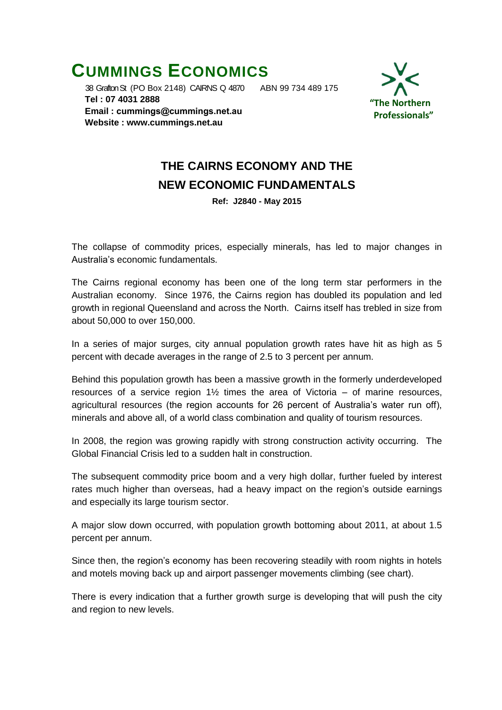## **CUMMINGS ECONOMICS**

 38 Grafton St (PO Box 2148) CAIRNS Q 4870 ABN 99 734 489 175  **Tel : 07 4031 2888 Email : [cummings@cummings.net.au](mailto:cummings@cummings.net.au) Website : www.cummings.net.au**



## **THE CAIRNS ECONOMY AND THE NEW ECONOMIC FUNDAMENTALS**

**Ref: J2840 - May 2015**

The collapse of commodity prices, especially minerals, has led to major changes in Australia's economic fundamentals.

The Cairns regional economy has been one of the long term star performers in the Australian economy. Since 1976, the Cairns region has doubled its population and led growth in regional Queensland and across the North. Cairns itself has trebled in size from about 50,000 to over 150,000.

In a series of major surges, city annual population growth rates have hit as high as 5 percent with decade averages in the range of 2.5 to 3 percent per annum.

Behind this population growth has been a massive growth in the formerly underdeveloped resources of a service region  $1\frac{1}{2}$  times the area of Victoria – of marine resources, agricultural resources (the region accounts for 26 percent of Australia's water run off), minerals and above all, of a world class combination and quality of tourism resources.

In 2008, the region was growing rapidly with strong construction activity occurring. The Global Financial Crisis led to a sudden halt in construction.

The subsequent commodity price boom and a very high dollar, further fueled by interest rates much higher than overseas, had a heavy impact on the region's outside earnings and especially its large tourism sector.

A major slow down occurred, with population growth bottoming about 2011, at about 1.5 percent per annum.

Since then, the region's economy has been recovering steadily with room nights in hotels and motels moving back up and airport passenger movements climbing (see chart).

There is every indication that a further growth surge is developing that will push the city and region to new levels.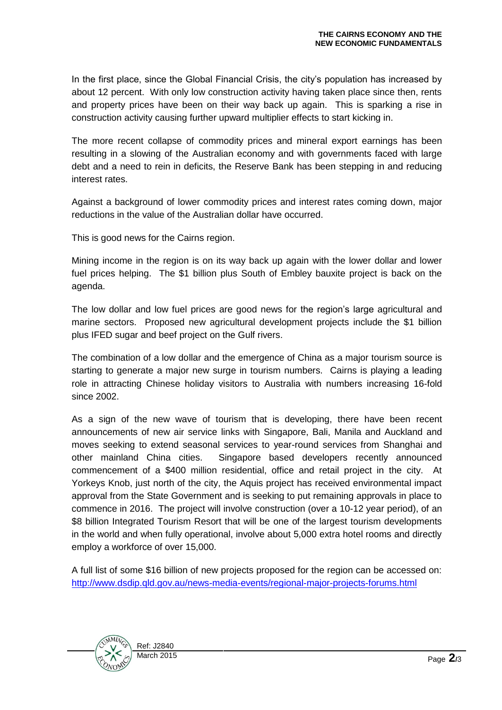In the first place, since the Global Financial Crisis, the city's population has increased by about 12 percent. With only low construction activity having taken place since then, rents and property prices have been on their way back up again. This is sparking a rise in construction activity causing further upward multiplier effects to start kicking in.

The more recent collapse of commodity prices and mineral export earnings has been resulting in a slowing of the Australian economy and with governments faced with large debt and a need to rein in deficits, the Reserve Bank has been stepping in and reducing interest rates.

Against a background of lower commodity prices and interest rates coming down, major reductions in the value of the Australian dollar have occurred.

This is good news for the Cairns region.

Mining income in the region is on its way back up again with the lower dollar and lower fuel prices helping. The \$1 billion plus South of Embley bauxite project is back on the agenda.

The low dollar and low fuel prices are good news for the region's large agricultural and marine sectors. Proposed new agricultural development projects include the \$1 billion plus IFED sugar and beef project on the Gulf rivers.

The combination of a low dollar and the emergence of China as a major tourism source is starting to generate a major new surge in tourism numbers. Cairns is playing a leading role in attracting Chinese holiday visitors to Australia with numbers increasing 16-fold since 2002.

As a sign of the new wave of tourism that is developing, there have been recent announcements of new air service links with Singapore, Bali, Manila and Auckland and moves seeking to extend seasonal services to year-round services from Shanghai and other mainland China cities. Singapore based developers recently announced commencement of a \$400 million residential, office and retail project in the city. At Yorkeys Knob, just north of the city, the Aquis project has received environmental impact approval from the State Government and is seeking to put remaining approvals in place to commence in 2016. The project will involve construction (over a 10-12 year period), of an \$8 billion Integrated Tourism Resort that will be one of the largest tourism developments in the world and when fully operational, involve about 5,000 extra hotel rooms and directly employ a workforce of over 15,000.

A full list of some \$16 billion of new projects proposed for the region can be accessed on: <http://www.dsdip.qld.gov.au/news-media-events/regional-major-projects-forums.html>